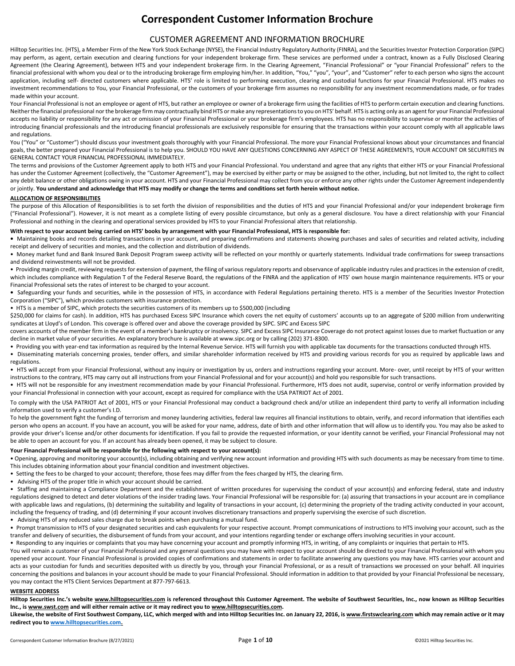# **Correspondent Customer Information Brochure**

# CUSTOMER AGREEMENT AND INFORMATION BROCHURE

Hilltop Securities Inc. (HTS), a Member Firm of the New York Stock Exchange (NYSE), the Financial Industry Regulatory Authority (FINRA), and the Securities Investor Protection Corporation (SIPC) may perform, as agent, certain execution and clearing functions for your independent brokerage firm. These services are performed under a contract, known as a Fully Disclosed Clearing Agreement (the Clearing Agreement), between HTS and your independent brokerage firm. In the Clearing Agreement, "Financial Professional" or "your Financial Professional" refers to the financial professional with whom you deal or to the introducing brokerage firm employing him/her. In addition, "You," "you", "your", and "Customer" refer to each person who signs the account application, including self- directed customers where applicable. HTS' role is limited to performing execution, clearing and custodial functions for your Financial Professional. HTS makes no investment recommendations to You, your Financial Professional, or the customers of your brokerage firm assumes no responsibility for any investment recommendations made, or for trades made within your account.

Your Financial Professional is not an employee or agent of HTS, but rather an employee or owner of a brokerage firm using the facilities of HTS to perform certain execution and clearing functions. Neither the financial professional nor the brokerage firm may contractually bind HTS or make any representations to you on HTS' behalf. HTS is acting only as an agent for your Financial Professional accepts no liability or responsibility for any act or omission of your Financial Professional or your brokerage firm's employees. HTS has no responsibility to supervise or monitor the activities of introducing financial professionals and the introducing financial professionals are exclusively responsible for ensuring that the transactions within your account comply with all applicable laws and regulations.

You ("You" or "Customer") should discuss your investment goals thoroughly with your Financial Professional. The more your Financial Professional knows about your circumstances and financial goals, the better prepared your Financial Professional is to help you. SHOULD YOU HAVE ANY QUESTIONS CONCERNING ANY ASPECT OF THESE AGREEMENTS, YOUR ACCOUNT OR SECURITIES IN GENERAL CONTACT YOUR FINANCIAL PROFESSIONAL IMMEDIATELY.

The terms and provisions of the Customer Agreement apply to both HTS and your Financial Professional. You understand and agree that any rights that either HTS or your Financial Professional has under the Customer Agreement (collectively, the "Customer Agreement"), may be exercised by either party or may be assigned to the other, including, but not limited to, the right to collect any debit balance or other obligations owing in your account. HTS and your Financial Professional may collect from you or enforce any other rights under the Customer Agreement independently or jointly. **You understand and acknowledge that HTS may modify or change the terms and conditions set forth herein without notice.**

## **ALLOCATION OF RESPONSIBILITIES**

The purpose of this Allocation of Responsibilities is to set forth the division of responsibilities and the duties of HTS and your Financial Professional and/or your independent brokerage firm ("Financial Professional"). However, it is not meant as a complete listing of every possible circumstance, but only as a general disclosure. You have a direct relationship with your Financial Professional and nothing in the clearing and operational services provided by HTS to your Financial Professional alters that relationship.

#### **With respect to your account being carried on HTS' books by arrangement with your Financial Professional, HTS is responsible for:**

**•** Maintaining books and records detailing transactions in your account, and preparing confirmations and statements showing purchases and sales of securities and related activity, including receipt and delivery of securities and monies, and the collection and distribution of dividends.

• Money market fund and Bank Insured Bank Deposit Program sweep activity will be reflected on your monthly or quarterly statements. Individual trade confirmations for sweep transactions and dividend reinvestments will not be provided.

• Providing margin credit, reviewing requests for extension of payment, the filing of various regulatory reports and observance of applicable industry rules and practices in the extension of credit, which includes compliance with Regulation T of the Federal Reserve Board, the regulations of the FINRA and the application of HTS' own house margin maintenance requirements. HTS or your Financial Professional sets the rates of interest to be charged to your account.

**•** Safeguarding your funds and securities, while in the possession of HTS, in accordance with Federal Regulations pertaining thereto. HTS is a member of the Securities Investor Protection Corporation ("SIPC"), which provides customers with insurance protection.

• HTS is a member of SIPC, which protects the securities customers of its members up to \$500,000 (including

\$250,000 for claims for cash). In addition, HTS has purchased Excess SIPC Insurance which covers the net equity of customers' accounts up to an aggregate of \$200 million from underwriting syndicates at Lloyd's of London. This coverage is offered over and above the coverage provided by SIPC. SIPC and Excess SIPC

covers accounts of the member firm in the event of a member's bankruptcy or insolvency. SIPC and Excess SIPC Insurance Coverage do not protect against losses due to market fluctuation or any decline in market value of your securities. An explanatory brochure is available at www.sipc.org or by calling (202) 371-8300.

- Providing you with year-end tax information as required by the Internal Revenue Service. HTS will furnish you with applicable tax documents for the transactions conducted through HTS.
- Disseminating materials concerning proxies, tender offers, and similar shareholder information received by HTS and providing various records for you as required by applicable laws and regulations.

• HTS will accept from your Financial Professional, without any inquiry or investigation by us, orders and instructions regarding your account. More- over, until receipt by HTS of your written instructions to the contrary, HTS may carry out all instructions from your Financial Professional and for your account(s) and hold you responsible for such transactions.

• HTS will not be responsible for any investment recommendation made by your Financial Professional. Furthermore, HTS does not audit, supervise, control or verify information provided by your Financial Professional in connection with your account, except as required for compliance with the USA PATRIOT Act of 2001.

To comply with the USA PATRIOT Act of 2001, HTS or your Financial Professional may conduct a background check and/or utilize an independent third party to verify all information including information used to verify a customer's I.D.

To help the government fight the funding of terrorism and money laundering activities, federal law requires all financial institutions to obtain, verify, and record information that identifies each person who opens an account. If you have an account, you will be asked for your name, address, date of birth and other information that will allow us to identify you. You may also be asked to provide your driver's license and/or other documents for identification. If you fail to provide the requested information, or your identity cannot be verified, your Financial Professional may not be able to open an account for you. If an account has already been opened, it may be subject to closure.

#### **Your Financial Professional will be responsible for the following with respect to your account(s):**

• Opening, approving and monitoring your account(s), including obtaining and verifying new account information and providing HTS with such documents as may be necessary from time to time. This includes obtaining information about your financial condition and investment objectives.

- Setting the fees to be charged to your account; therefore, those fees may differ from the fees charged by HTS, the clearing firm.
- Advising HTS of the proper title in which your account should be carried.

• Staffing and maintaining a Compliance Department and the establishment of written procedures for supervising the conduct of your account(s) and enforcing federal, state and industry regulations designed to detect and deter violations of the insider trading laws. Your Financial Professional will be responsible for: (a) assuring that transactions in your account are in compliance with applicable laws and regulations, (b) determining the suitability and legality of transactions in your account, (c) determining the propriety of the trading activity conducted in your account, including the frequency of trading, and (d) determining if your account involves discretionary transactions and properly supervising the exercise of such discretion.

• Advising HTS of any reduced sales charge due to break points when purchasing a mutual fund.

Prompt transmission to HTS of your designated securities and cash equivalents for your respective account. Prompt communications of instructions to HTS involving your account, such as the transfer and delivery of securities, the disbursement of funds from your account, and your intentions regarding tender or exchange offers involving securities in your account.

Responding to any inquiries or complaints that you may have concerning your account and promptly informing HTS, in writing, of any complaints or inquiries that pertain to HTS.

You will remain a customer of your Financial Professional and any general questions you may have with respect to your account should be directed to your Financial Professional with whom you opened your account. Your Financial Professional is provided copies of confirmations and statements in order to facilitate answering any questions you may have. HTS carries your account and acts as your custodian for funds and securities deposited with us directly by you, through your Financial Professional, or as a result of transactions we processed on your behalf. All inquiries concerning the positions and balances in your account should be made to your Financial Professional. Should information in addition to that provided by your Financial Professional be necessary, you may contact the HTS Client Services Department at 877-797-6613.

## **WEBSITE ADDRESS**

**Hilltop Securities Inc.'s website www.hilltopsecurities.com is referenced throughout this Customer Agreement. The website of Southwest Securities, Inc., now known as Hilltop Securities Inc., is www.swst.com and will either remain active or it may redirect you to www.hilltopsecurities.com.** 

**Likewise, the website of First Southwest Company, LLC, which merged with and into Hilltop Securities Inc. on January 22, 2016, is www.firstswclearing.com which may remain active or it may redirect you t[o www.hilltopsecurities.com.](http://www.hilltopsecurities.com/)**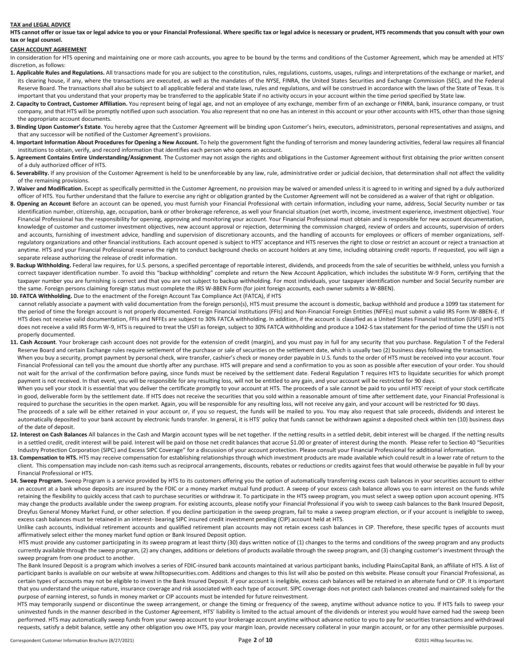#### **TAX and LEGAL ADVICE**

**HTS cannot offer or issue tax or legal advice to you or your Financial Professional. Where specific tax or legal advice is necessary or prudent, HTS recommends that you consult with your own tax or legal counsel.**

#### **CASH ACCOUNT AGREEMENT**

In consideration for HTS opening and maintaining one or more cash accounts, you agree to be bound by the terms and conditions of the Customer Agreement, which may be amended at HTS' discretion, as follows:

- **1. Applicable Rules and Regulations.** All transactions made for you are subject to the constitution, rules, regulations, customs, usages, rulings and interpretations of the exchange or market, and its clearing house, if any, where the transactions are executed, as well as the mandates of the NYSE, FINRA, the United States Securities and Exchange Commission (SEC), and the Federal Reserve Board. The transactions shall also be subject to all applicable federal and state laws, rules and regulations, and will be construed in accordance with the laws of the State of Texas. It is important that you understand that your property may be transferred to the applicable State if no activity occurs in your account within the time period specified by State law.
- 2. Capacity to Contract, Customer Affiliation. You represent being of legal age, and not an employee of any exchange, member firm of an exchange or FINRA, bank, insurance company, or trust company, and that HTS will be promptly notified upon such association. You also represent that no one has an interest in this account or your other accounts with HTS, other than those signing the appropriate account documents.
- **3. Binding Upon Customer's Estate**. You hereby agree that the Customer Agreement will be binding upon Customer's heirs, executors, administrators, personal representatives and assigns, and that any successor will be notified of the Customer Agreement's provisions.
- **4. Important Information About Procedures for Opening a New Account.** To help the government fight the funding of terrorism and money laundering activities, federal law requires all financial institutions to obtain, verify, and record information that identifies each person who opens an account.
- **5. Agreement Contains Entire Understanding/Assignment**. The Customer may not assign the rights and obligations in the Customer Agreement without first obtaining the prior written consent of a duly authorized officer of HTS.
- 6. Severability. If any provision of the Customer Agreement is held to be unenforceable by any law, rule, administrative order or judicial decision, that determination shall not affect the validity of the remaining provisions.
- **7. Waiver and Modification.** Except as specifically permitted in the Customer Agreement, no provision may be waived or amended unless it is agreed to in writing and signed by a duly authorized officer of HTS. You further understand that the failure to exercise any right or obligation granted by the Customer Agreement will not be considered as a waiver of that right or obligation.
- **8. Opening an Account** Before an account can be opened, you must furnish your Financial Professional with certain information, including your name, address, Social Security number or tax identification number, citizenship, age, occupation, bank or other brokerage reference, as well your financial situation (net worth, income, investment experience, investment objective). Your Financial Professional has the responsibility for opening, approving and monitoring your account. Your Financial Professional must obtain and is responsible for new account documentation, knowledge of customer and customer investment objectives, new account approval or rejection, determining the commission charged, review of orders and accounts, supervision of orders and accounts, furnishing of investment advice, handling and supervision of discretionary accounts, and the handling of accounts for employees or officers of member organizations, selfregulatory organizations and other financial institutions. Each account opened is subject to HTS' acceptance and HTS reserves the right to close or restrict an account or reject a transaction at anytime. HTS and your Financial Professional reserve the right to conduct background checks on account holders at any time, including obtaining credit reports. If requested, you will sign a separate release authorizing the release of credit information.
- **9. Backup Withholding.** Federal law requires, for U.S. persons, a specified percentage of reportable interest, dividends, and proceeds from the sale of securities be withheld, unless you furnish a correct taxpayer identification number. To avoid this "backup withholding" complete and return the New Account Application, which includes the substitute W-9 Form, certifying that the taxpayer number you are furnishing is correct and that you are not subject to backup withholding. For most individuals, your taxpayer identification number and Social Security number are the same. Foreign persons claiming foreign status must complete the IRS W-8BEN Form (for joint foreign accounts, each owner submits a W-8BEN).
- **10. FATCA Withholding.** Due to the enactment of the Foreign Account Tax Compliance Act (FATCA), if HTS cannot reliably associate a payment with valid documentation from the foreign person(s), HTS must presume the account is domestic, backup withhold and produce a 1099 tax statement for the period of time the foreign account is not properly documented. Foreign Financial Institutions (FFIs) and Non-Financial Foreign Entities (NFFEs) must submit a valid IRS Form W-8BEN-E. If HTS does not receive valid documentation, FFIs and NFFEs are subject to 30% FATCA withholding. In addition, if the account is classified as a United States Financial Institution (USFI) and HTS does not receive a valid IRS Form W-9, HTS is required to treat the USFI as foreign, subject to 30% FATCA withholding and produce a 1042-S tax statement for the period of time the USFI is not properly documented.
- 11. Cash Account. Your brokerage cash account does not provide for the extension of credit (margin), and you must pay in full for any security that you purchase. Regulation T of the Federal Reserve Board and certain Exchange rules require settlement of the purchase or sale of securities on the settlement date, which is usually two (2) business days following the transaction. When you buy a security, prompt payment by personal check, wire transfer, cashier's check or money order payable in U.S. funds to the order of HTS must be received into your account. Your
- Financial Professional can tell you the amount due shortly after any purchase. HTS will prepare and send a confirmation to you as soon as possible after execution of your order. You should not wait for the arrival of the confirmation before paying, since funds must be received by the settlement date. Federal Regulation T requires HTS to liquidate securities for which prompt payment is not received. In that event, you will be responsible for any resulting loss, will not be entitled to any gain, and your account will be restricted for 90 days.
- When you sell your stock it is essential that you deliver the certificate promptly to your account at HTS. The proceeds of a sale cannot be paid to you until HTS' receipt of your stock certificate in good, deliverable form by the settlement date. If HTS does not receive the securities that you sold within a reasonable amount of time after settlement date, your Financial Professional is required to purchase the securities in the open market. Again, you will be responsible for any resulting loss, will not receive any gain, and your account will be restricted for 90 days.
- The proceeds of a sale will be either retained in your account or, if you so request, the funds will be mailed to you. You may also request that sale proceeds, dividends and interest be automatically deposited to your bank account by electronic funds transfer. In general, it is HTS' policy that funds cannot be withdrawn against a deposited check within ten (10) business days of the date of deposit.
- 12. Interest on Cash Balances All balances in the Cash and Margin account types will be net together. If the netting results in a settled debit, debit interest will be charged. If the netting results in a settled credit, credit interest will be paid. Interest will be paid on those net credit balances that accrue \$1.00 or greater of interest during the month. Please refer to Section 40 "Securities Industry Protection Corporation (SIPC) and Excess SIPC Coverage" for a discussion of your account protection. Please consult your Financial Professional for additional information.
- 13. Compensation to HTS. HTS may receive compensation for establishing relationships through which investment products are made available which could result in a lower rate of return to the client. This compensation may include non-cash items such as reciprocal arrangements, discounts, rebates or reductions or credits against fees that would otherwise be payable in full by your Financial Professional or HTS.
- 14. Sweep Program. Sweep Program is a service provided by HTS to its customers offering you the option of automatically transferring excess cash balances in your securities account to either an account at a bank whose deposits are insured by the FDIC or a money market mutual fund product. A sweep of your excess cash balance allows you to earn interest on the funds while retaining the flexibility to quickly access that cash to purchase securities or withdraw it. To participate in the HTS sweep program, you must select a sweep option upon account opening. HTS may change the products available under the sweep program. For existing accounts, please notify your Financial Professional if you wish to sweep cash balances to the Bank Insured Deposit, Dreyfus General Money Market Fund, or other selection. If you decline participation in the sweep program, fail to make a sweep program election, or if your account is ineligible to sweep, excess cash balances must be retained in an interest- bearing SIPC insured credit investment pending (CIP) account held at HTS.

Unlike cash accounts, individual retirement accounts and qualified retirement plan accounts may not retain excess cash balances in CIP. Therefore, these specific types of accounts must affirmatively select either the money market fund option or Bank Insured Deposit option.

 HTS must provide any customer participating in its sweep program at least thirty (30) days written notice of (1) changes to the terms and conditions of the sweep program and any products currently available through the sweep program, (2) any changes, additions or deletions of products available through the sweep program, and (3) changing customer's investment through the sweep program from one product to another.

The Bank Insured Deposit is a program which involves a series of FDIC-insured bank accounts maintained at various participant banks, including PlainsCapital Bank, an affiliate of HTS. A list of participant banks is available on our website at www.hilltopsecurities.com. Additions and changes to this list will also be posted on this website. Please consult your Financial Professional, as certain types of accounts may not be eligible to invest in the Bank Insured Deposit. If your account is ineligible, excess cash balances will be retained in an alternate fund or CIP. It is important that you understand the unique nature, insurance coverage and risk associated with each type of account. SIPC coverage does not protect cash balances created and maintained solely for the purpose of earning interest, so funds in money market or CIP accounts must be intended for future reinvestment.

 HTS may temporarily suspend or discontinue the sweep arrangement, or change the timing or frequency of the sweep, anytime without advance notice to you. If HTS fails to sweep your uninvested funds in the manner described in the Customer Agreement, HTS' liability is limited to the actual amount of the dividends or interest you would have earned had the sweep been performed. HTS may automatically sweep funds from your sweep account to your brokerage account anytime without advance notice to you to pay for securities transactions and withdrawal requests, satisfy a debit balance, settle any other obligation you owe HTS, pay your margin loan, provide necessary collateral in your margin account, or for any other permissible purposes.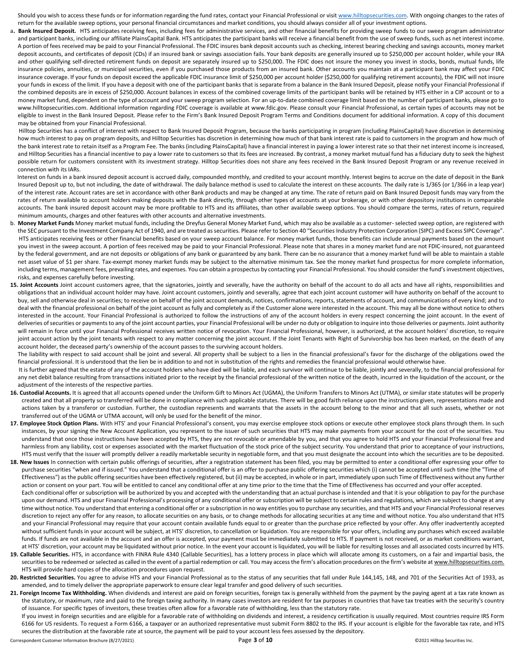Should you wish to access these funds or for information regarding the fund rates, contact your Financial Professional or visi[t www.hilltopsecurities.com.](http://www.hilltopsecurities.com/) With ongoing changes to the rates of return for the available sweep options, your personal financial circumstances and market conditions, you should always consider all of your investment options.

a. Bank Insured Deposit. HTS anticipates receiving fees, including fees for administrative services, and other financial benefits for providing sweep funds to our sweep program administrator and participant banks, including our affiliate PlainsCapital Bank. HTS anticipates the participant banks will receive a financial benefit from the use of sweep funds, such as net interest income. A portion of fees received may be paid to your Financial Professional. The FDIC insures bank deposit accounts such as checking, interest bearing checking and savings accounts, money market deposit accounts, and certificates of deposit (CDs) if an insured bank or savings association fails. Your bank deposits are generally insured up to \$250,000 per account holder, while your IRA and other qualifying self-directed retirement funds on deposit are separately insured up to \$250,000. The FDIC does not insure the money you invest in stocks, bonds, mutual funds, life insurance policies, annuities, or municipal securities, even if you purchased those products from an insured bank. Other accounts you maintain at a participant bank may affect your FDIC insurance coverage. If your funds on deposit exceed the applicable FDIC insurance limit of \$250,000 per account holder (\$250,000 for qualifying retirement accounts), the FDIC will not insure your funds in excess of the limit. If you have a deposit with one of the participant banks that is separate from a balance in the Bank Insured Deposit, please notify your Financial Professional if the combined deposits are in excess of \$250,000. Account balances in excess of the combined coverage limits of the participant banks will be retained by HTS either in a CIP account or to a money market fund, dependent on the type of account and your sweep program selection. For an up-to-date combined coverage limit based on the number of participant banks, please go to www.hilltopsecurities.com. Additional information regarding FDIC coverage is available at www.fdic.gov. Please consult your Financial Professional, as certain types of accounts may not be eligible to invest in the Bank Insured Deposit. Please refer to the Firm's Bank Insured Deposit Program Terms and Conditions document for additional information. A copy of this document may be obtained from your Financial Professional.

Hilltop Securities has a conflict of interest with respect to Bank Insured Deposit Program, because the banks participating in program (including PlainsCapital) have discretion in determining how much interest to pay on program deposits, and Hilltop Securities has discretion in determining how much of that bank interest rate is paid to customers in the program and how much of the bank interest rate to retain itself as a Program Fee. The banks (including PlainsCapital) have a financial interest in paying a lower interest rate so that their net interest income is increased, and Hilltop Securities has a financial incentive to pay a lower rate to customers so that its fees are increased. By contrast, a money market mutual fund has a fiduciary duty to seek the highest possible return for customers consistent with its investment strategy. Hilltop Securities does not share any fees received in the Bank Insured Deposit Program or any revenue received in connection with its IARs.

Interest on funds in a bank insured deposit account is accrued daily, compounded monthly, and credited to your account monthly. Interest begins to accrue on the date of deposit in the Bank Insured Deposit up to, but not including, the date of withdrawal. The daily balance method is used to calculate the interest on these accounts. The daily rate is 1/365 (or 1/366 in a leap year) of the interest rate. Account rates are set in accordance with other Bank products and may be changed at any time. The rate of return paid on Bank Insured Deposit funds may vary from the rates of return available to account holders making deposits with the Bank directly, through other types of accounts at your brokerage, or with other depository institutions in comparable accounts. The bank insured deposit account may be more profitable to HTS and its affiliates, than other available sweep options. You should compare the terms, rates of return, required minimum amounts, charges and other features with other accounts and alternative investments.

- b. **Money Market Funds** Money market mutual funds, including the Dreyfus General Money Market Fund, which may also be available as a customer- selected sweep option, are registered with the SEC pursuant to the Investment Company Act of 1940, and are treated as securities. Please refer to Section 40 "Securities Industry Protection Corporation (SIPC) and Excess SIPC Coverage". HTS anticipates receiving fees or other financial benefits based on your sweep account balance. For money market funds, those benefits can include annual payments based on the amount you invest in the sweep account. A portion of fees received may be paid to your Financial Professional. Please note that shares in a money market fund are not FDIC-insured, not guaranteed by the federal government, and are not deposits or obligations of any bank or guaranteed by any bank. There can be no assurance that a money market fund will be able to maintain a stable net asset value of \$1 per share. Tax-exempt money market funds may be subject to the alternative minimum tax. See the money market fund prospectus for more complete information, including terms, management fees, prevailing rates, and expenses. You can obtain a prospectus by contacting your Financial Professional. You should consider the fund's investment objectives, risks, and expenses carefully before investing.
- 15. Joint Accounts Joint account customers agree, that the signatories, jointly and severally, have the authority on behalf of the account to do all acts and have all rights, responsibilities and obligations that an individual account holder may have. Joint account customers, jointly and severally, agree that each joint account customer will have authority on behalf of the account to buy, sell and otherwise deal in securities; to receive on behalf of the joint account demands, notices, confirmations, reports, statements of account, and communications of every kind; and to deal with the financial professional on behalf of the joint account as fully and completely as if the Customer alone were interested in the account. This may all be done without notice to others interested in the account. Your Financial Professional is authorized to follow the instructions of any of the account holders in every respect concerning the joint account. In the event of deliveries of securities or payments to any of the joint account parties, your Financial Professional will be under no duty or obligation to inquire into those deliveries or payments. Joint authority will remain in force until your Financial Professional receives written notice of revocation. Your Financial Professional, however, is authorized, at the account holders' discretion, to require joint account action by the joint tenants with respect to any matter concerning the joint account. If the Joint Tenants with Right of Survivorship box has been marked, on the death of any account holder, the deceased party's ownership of the account passes to the surviving account holders.

The liability with respect to said account shall be joint and several. All property shall be subject to a lien in the financial professional's favor for the discharge of the obligations owed the financial professional. It is understood that the lien be in addition to and not in substitution of the rights and remedies the financial professional would otherwise have.

It is further agreed that the estate of any of the account holders who have died will be liable, and each survivor will continue to be liable, jointly and severally, to the financial professional for any net debit balance resulting from transactions initiated prior to the receipt by the financial professional of the written notice of the death, incurred in the liquidation of the account, or the adjustment of the interests of the respective parties.

- **16. Custodial Accounts.** It is agreed that all accounts opened under the Uniform Gift to Minors Act (UGMA), the Uniform Transfers to Minors Act (UTMA), or similar state statutes will be properly created and that all property so transferred will be done in compliance with such applicable statutes. There will be good faith reliance upon the instructions given, representations made and actions taken by a transferor or custodian. Further, the custodian represents and warrants that the assets in the account belong to the minor and that all such assets, whether or not transferred out of the UGMA or UTMA account, will only be used for the benefit of the minor.
- 17. Employee Stock Option Plans. With HTS' and your Financial Professional's consent, you may exercise employee stock options or execute other employee stock plans through them. In such instances, by your signing the New Account Application, you represent to the issuer of such securities that HTS may make payments from your account for the cost of the securities. You understand that once those instructions have been accepted by HTS, they are not revocable or amendable by you, and that you agree to hold HTS and your Financial Professional free and harmless from any liability, cost or expenses associated with the market fluctuation of the stock price of the subject security. You understand that prior to acceptance of your instructions, HTS must verify that the issuer will promptly deliver a readily marketable security in negotiable form, and that you must designate the account into which the securities are to be deposited.
- 18. New Issues In connection with certain public offerings of securities, after a registration statement has been filed, you may be permitted to enter a conditional offer expressing your offer to purchase securities "when and if issued." You understand that a conditional offer is an offer to purchase public offering securities which (i) cannot be accepted until such time (the "Time of Effectiveness") as the public offering securities have been effectively registered, but (ii) may be accepted, in whole or in part, immediately upon such Time of Effectiveness without any further action or consent on your part. You will be entitled to cancel any conditional offer at any time prior to the time that the Time of Effectiveness has occurred and your offer accepted. Each conditional offer or subscription will be authorized by you and accepted with the understanding that an actual purchase is intended and that it is your obligation to pay for the purchase upon our demand. HTS and your Financial Professional's processing of any conditional offer or subscription will be subject to certain rules and regulations, which are subject to change at any time without notice. You understand that entering a conditional offer or a subscription in no way entitles you to purchase any securities, and that HTS and your Financial Professional reserves discretion to reject any offer for any reason, to allocate securities on any basis, or to change methods for allocating securities at any time and without notice. You also understand that HTS and your Financial Professional may require that your account contain available funds equal to or greater than the purchase price reflected by your offer. Any offer inadvertently accepted without sufficient funds in your account will be subject, at HTS' discretion, to cancellation or liquidation. You are responsible for your offers, including any purchases which exceed available funds. If funds are not available in the account and an offer is accepted, your payment must be immediately submitted to HTS. If payment is not received, or as market conditions warrant, at HTS' discretion, your account may be liquidated without prior notice. In the event your account is liquidated, you will be liable for resulting losses and all associated costs incurred by HTS.
- **19. Callable Securities.** HTS, in accordance with FINRA Rule 4340 (Callable Securities), has a lottery process in place which will allocate among its customers, on a fair and impartial basis, the securities to be redeemed or selected as called in the event of a partial redemption or call. You may access the firm's allocation procedures on the firm's website at www.hilltopsecurities.com. HTS will provide hard copies of the allocation procedures upon request.
- 20. Restricted Securities. You agree to advise HTS and your Financial Professional as to the status of any securities that fall under Rule 144,145, 148, and 701 of the Securities Act of 1933, as amended, and to timely deliver the appropriate paperwork to ensure clear legal transfer and good delivery of such securities.
- 21. Foreign Income Tax Withholding. When dividends and interest are paid on foreign securities, foreign tax is generally withheld from the payment by the paying agent at a tax rate known as the statutory, or maximum, rate and paid to the foreign taxing authority. In many cases investors are resident for tax purposes in countries that have tax treaties with the security's country of issuance. For specific types of investors, these treaties often allow for a favorable rate of withholding, less than the statutory rate.
	- If you invest in foreign securities and are eligible for a favorable rate of withholding on dividends and interest, a residency certification is usually required. Most countries require IRS Form 6166 for US residents. To request a Form 6166, a taxpayer or an authorized representative must submit Form 8802 to the IRS. If your account is eligible for the favorable tax rate, and HTS secures the distribution at the favorable rate at source, the payment will be paid to your account less fees assessed by the depository.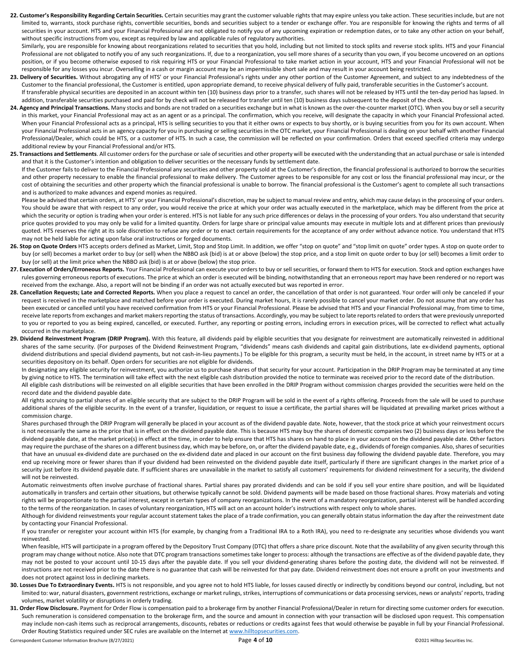22. Customer's Responsibility Regarding Certain Securities. Certain securities may grant the customer valuable rights that may expire unless you take action. These securities include, but are not limited to, warrants, stock purchase rights, convertible securities, bonds and securities subject to a tender or exchange offer. You are responsible for knowing the rights and terms of all securities in your account. HTS and your Financial Professional are not obligated to notify you of any upcoming expiration or redemption dates, or to take any other action on your behalf, without specific instructions from you, except as required by law and applicable rules of regulatory authorities. Similarly, you are responsible for knowing about reorganizations related to securities that you hold, including but not limited to stock splits and reverse stock splits. HTS and your Financial Professional are not obligated to notify you of any such reorganizations. If, due to a reorganization, you sell more shares of a security than you own, if you become uncovered on an options position, or if you become otherwise exposed to risk requiring HTS or your Financial Professional to take market action in your account, HTS and your Financial Professional will not be

responsible for any losses you incur. Overselling in a cash or margin account may be an impermissible short sale and may result in your account being restricted. 23. Delivery of Securities. Without abrogating any of HTS' or your Financial Professional's rights under any other portion of the Customer Agreement, and subject to any indebtedness of the Customer to the financial professional, the Customer is entitled, upon appropriate demand, to receive physical delivery of fully paid, transferable securities in the Customer's account.

If transferable physical securities are deposited in an account within ten (10) business days prior to a transfer, such shares will not be released by HTS until the ten-day period has lapsed. In addition, transferable securities purchased and paid for by check will not be released for transfer until ten (10) business days subsequent to the deposit of the check.

- **24. Agency and Principal Transactions.** Many stocks and bonds are not traded on a securities exchange but in what is known as the over-the-counter market (OTC). When you buy or sell a security in this market, your Financial Professional may act as an agent or as a principal. The confirmation, which you receive, will designate the capacity in which your Financial Professional acted. When your Financial Professional acts as a principal, HTS is selling securities to you that it either owns or expects to buy shortly, or is buying securities from you for its own account. When your Financial Professional acts in an agency capacity for you in purchasing or selling securities in the OTC market, your Financial Professional is dealing on your behalf with another Financial Professional/Dealer, which could be HTS, or a customer of HTS. In such a case, the commission will be reflected on your confirmation. Orders that exceed specified criteria may undergo additional review by your Financial Professional and/or HTS.
- **25. Transactions and Settlements**. All customer orders for the purchase or sale of securities and other property will be executed with the understanding that an actual purchase or sale is intended and that it is the Customer's intention and obligation to deliver securities or the necessary funds by settlement date.

 If the Customer fails to deliver to the Financial Professional any securities and other property sold at the Customer's direction, the financial professional is authorized to borrow the securities and other property necessary to enable the financial professional to make delivery. The Customer agrees to be responsible for any cost or loss the financial professional may incur, or the cost of obtaining the securities and other property which the financial professional is unable to borrow. The financial professional is the Customer's agent to complete all such transactions and is authorized to make advances and expend monies as required.

Please be advised that certain orders, at HTS' or your Financial Professional's discretion, may be subject to manual review and entry, which may cause delays in the processing of your orders. You should be aware that with respect to any order, you would receive the price at which your order was actually executed in the marketplace, which may be different from the price at which the security or option is trading when your order is entered. HTS is not liable for any such price differences or delays in the processing of your orders. You also understand that security price quotes provided to you may only be valid for a limited quantity. Orders for large share or principal value amounts may execute in multiple lots and at different prices than previously quoted. HTS reserves the right at its sole discretion to refuse any order or to enact certain requirements for the acceptance of any order without advance notice. You understand that HTS may not be held liable for acting upon false oral instructions or forged documents.

- 26. Stop on Quote Orders HTS accepts orders defined as Market, Limit, Stop and Stop Limit. In addition, we offer "stop on quote" and "stop limit on quote" order types. A stop on quote order to buy (or sell) becomes a market order to buy (or sell) when the NBBO ask (bid) is at or above (below) the stop price, and a stop limit on quote order to buy (or sell) becomes a limit order to buy (or sell) at the limit price when the NBBO ask (bid) is at or above (below) the stop price.
- 27. Execution of Orders/Erroneous Reports. Your Financial Professional can execute your orders to buy or sell securities, or forward them to HTS for execution. Stock and option exchanges have rules governing erroneous reports of executions. The price at which an order is executed will be binding, notwithstanding that an erroneous report may have been rendered or no report was received from the exchange. Also, a report will not be binding if an order was not actually executed but was reported in error.
- 28. Cancellation Requests; Late and Corrected Reports. When you place a request to cancel an order, the cancellation of that order is not guaranteed. Your order will only be canceled if your request is received in the marketplace and matched before your order is executed. During market hours, it is rarely possible to cancel your market order. Do not assume that any order has been executed or cancelled until you have received confirmation from HTS or your Financial Professional. Please be advised that HTS and your Financial Professional may, from time to time, receive late reports from exchanges and market makers reporting the status of transactions. Accordingly, you may be subject to late reports related to orders that were previously unreported to you or reported to you as being expired, cancelled, or executed. Further, any reporting or posting errors, including errors in execution prices, will be corrected to reflect what actually occurred in the marketplace.
- 29. Dividend Reinvestment Program (DRIP Program). With this feature, all dividends paid by eligible securities that you designate for reinvestment are automatically reinvested in additional shares of the same security. (For purposes of the Dividend Reinvestment Program, "dividends" means cash dividends and capital gain distributions, late ex-dividend payments, optional dividend distributions and special dividend payments, but not cash-in-lieu payments.) To be eligible for this program, a security must be held, in the account, in street name by HTS or at a securities depository on its behalf. Open orders for securities are not eligible for dividends.

In designating any eligible security for reinvestment, you authorize us to purchase shares of that security for your account. Participation in the DRIP Program may be terminated at any time by giving notice to HTS. The termination will take effect with the next eligible cash distribution provided the notice to terminate was received prior to the record date of the distribution. All eligible cash distributions will be reinvested on all eligible securities that have been enrolled in the DRIP Program without commission charges provided the securities were held on the record date and the dividend payable date.

All rights accruing to partial shares of an eligible security that are subject to the DRIP Program will be sold in the event of a rights offering. Proceeds from the sale will be used to purchase additional shares of the eligible security. In the event of a transfer, liquidation, or request to issue a certificate, the partial shares will be liquidated at prevailing market prices without a commission charge.

 Shares purchased through the DRIP Program will generally be placed in your account as of the dividend payable date. Note, however, that the stock price at which your reinvestment occurs is not necessarily the same as the price that is in effect on the dividend payable date. This is because HTS may buy the shares of domestic companies two (2) business days or less before the dividend payable date, at the market price(s) in effect at the time, in order to help ensure that HTS has shares on hand to place in your account on the dividend payable date. Other factors may require the purchase of the shares on a different business day, which may be before, on, or after the dividend payable date, e.g., dividends of foreign companies. Also, shares of securities that have an unusual ex-dividend date are purchased on the ex-dividend date and placed in our account on the first business day following the dividend payable date. Therefore, you may end up receiving more or fewer shares than if your dividend had been reinvested on the dividend payable date itself, particularly if there are significant changes in the market price of a security just before its dividend payable date. If sufficient shares are unavailable in the market to satisfy all customers' requirements for dividend reinvestment for a security, the dividend will not be reinvested.

 Automatic reinvestments often involve purchase of fractional shares. Partial shares pay prorated dividends and can be sold if you sell your entire share position, and will be liquidated automatically in transfers and certain other situations, but otherwise typically cannot be sold. Dividend payments will be made based on those fractional shares. Proxy materials and voting rights will be proportionate to the partial interest, except in certain types of company reorganizations. In the event of a mandatory reorganization, partial interest will be handled according to the terms of the reorganization. In cases of voluntary reorganization, HTS will act on an account holder's instructions with respect only to whole shares.

 Although for dividend reinvestments your regular account statement takes the place of a trade confirmation, you can generally obtain status information the day after the reinvestment date by contacting your Financial Professional.

 If you transfer or reregister your account within HTS (for example, by changing from a Traditional IRA to a Roth IRA), you need to re-designate any securities whose dividends you want reinvested.

When feasible, HTS will participate in a program offered by the Depository Trust Company (DTC) that offers a share price discount. Note that the availability of any given security through this program may change without notice. Also note that DTC program transactions sometimes take longer to process: although the transactions are effective as of the dividend payable date, they may not be posted to your account until 10-15 days after the payable date. If you sell your dividend-generating shares before the posting date, the dividend will not be reinvested. If instructions are not received prior to the date there is no guarantee that cash will be reinvested for that pay date. Dividend reinvestment does not ensure a profit on your investments and does not protect against loss in declining markets.

- **30. Losses Due To Extraordinary Events.** HTS is not responsible, and you agree not to hold HTS liable, for losses caused directly or indirectly by conditions beyond our control, including, but not limited to: war, natural disasters, government restrictions, exchange or market rulings, strikes, interruptions of communications or data processing services, news or analysts' reports, trading volumes, market volatility or disruptions in orderly trading.
- **31. Order Flow Disclosure.** Payment for Order Flow is compensation paid to a brokerage firm by another Financial Professional/Dealer in return for directing some customer orders for execution. Such remuneration is considered compensation to the brokerage firm, and the source and amount in connection with your transaction will be disclosed upon request. This compensation may include non-cash items such as reciprocal arrangements, discounts, rebates or reductions or credits against fees that would otherwise be payable in full by your Financial Professional. Order Routing Statistics required under SEC rules are available on the Internet at [www.hilltopsecurities.com.](http://www.hilltopsecurities.com/)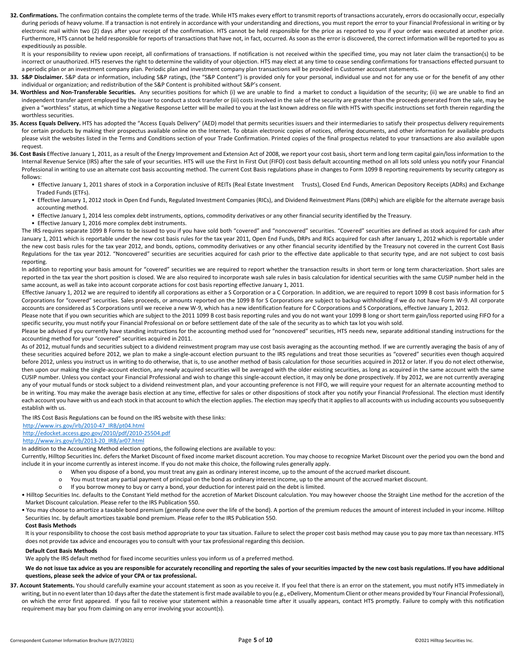32. Confirmations. The confirmation contains the complete terms of the trade. While HTS makes every effort to transmit reports of transactions accurately, errors do occasionally occur, especially during periods of heavy volume. If a transaction is not entirely in accordance with your understanding and directions, you must report the error to your Financial Professional in writing or by electronic mail within two (2) days after your receipt of the confirmation. HTS cannot be held responsible for the price as reported to you if your order was executed at another price. Furthermore, HTS cannot be held responsible for reports of transactions that have not, in fact, occurred. As soon as the error is discovered, the correct information will be reported to you as expeditiously as possible.

It is your responsibility to review upon receipt, all confirmations of transactions. If notification is not received within the specified time, you may not later claim the transaction(s) to be incorrect or unauthorized. HTS reserves the right to determine the validity of your objection. HTS may elect at any time to cease sending confirmations for transactions effected pursuant to a periodic plan or an investment company plan. Periodic plan and investment company plan transactions will be provided in Customer account statements.

- 33. S&P Disclaimer. S&P data or information, including S&P ratings, (the "S&P Content") is provided only for your personal, individual use and not for any use or for the benefit of any other individual or organization; and redistribution of the S&P Content is prohibited without S&P's consent.
- **34. Worthless and Non-Transferable Securities.** Any securities positions for which (i) we are unable to find a market to conduct a liquidation of the security; (ii) we are unable to find an independent transfer agent employed by the issuer to conduct a stock transfer or (iii) costs involved in the sale of the security are greater than the proceeds generated from the sale, may be given a "worthless" status, at which time a Negative Response Letter will be mailed to you at the last known address on file with HTS with specific instructions set forth therein regarding the worthless securities.
- 35. Access Equals Delivery. HTS has adopted the "Access Equals Delivery" (AED) model that permits securities issuers and their intermediaries to satisfy their prospectus delivery requirements for certain products by making their prospectus available online on the Internet. To obtain electronic copies of notices, offering documents, and other information for available products please visit the websites listed in the Terms and Conditions section of your Trade Confirmation. Printed copies of the final prospectus related to your transactions are also available upon request.
- **36. Cost Basis** Effective January 1, 2011, as a result of the Energy Improvement and Extension Act of 2008, we report your cost basis, short term and long term capital gain/loss information to the Internal Revenue Service (IRS) after the sale of your securities. HTS will use the First In First Out (FIFO) cost basis default accounting method on all lots sold unless you notify your Financial Professional in writing to use an alternate cost basis accounting method. The current Cost Basis regulations phase in changes to Form 1099 B reporting requirements by security category as follows:
	- Effective January 1, 2011 shares of stock in a Corporation inclusive of REITs (Real Estate Investment Trusts), Closed End Funds, American Depository Receipts (ADRs) and Exchange Traded Funds (ETFs).
	- Effective January 1, 2012 stock in Open End Funds, Regulated Investment Companies (RICs), and Dividend Reinvestment Plans (DRPs) which are eligible for the alternate average basis accounting method.
	- Effective January 1, 2014 less complex debt instruments, options, commodity derivatives or any other financial security identified by the Treasury.
	- Effective January 1, 2016 more complex debt instruments.

The IRS requires separate 1099 B Forms to be issued to you if you have sold both "covered" and "noncovered" securities. "Covered" securities are defined as stock acquired for cash after January 1, 2011 which is reportable under the new cost basis rules for the tax year 2011, Open End Funds, DRPs and RICs acquired for cash after January 1, 2012 which is reportable under the new cost basis rules for the tax year 2012, and bonds, options, commodity derivatives or any other financial security identified by the Treasury not covered in the current Cost Basis Regulations for the tax year 2012. "Noncovered" securities are securities acquired for cash prior to the effective date applicable to that security type, and are not subject to cost basis reporting.

In addition to reporting your basis amount for "covered" securities we are required to report whether the transaction results in short term or long term characterization. Short sales are reported in the tax year the short position is closed. We are also required to incorporate wash sale rules in basis calculation for identical securities with the same CUSIP number held in the same account, as well as take into account corporate actions for cost basis reporting effective January 1, 2011.

 Effective January 1, 2012 we are required to identify all corporations as either a S Corporation or a C Corporation. In addition, we are required to report 1099 B cost basis information for S Corporations for "covered" securities. Sales proceeds, or amounts reported on the 1099 B for S Corporations are subject to backup withholding if we do not have Form W-9. All corporate accounts are considered as S Corporations until we receive a new W-9, which has a new identification feature for C Corporations and S Corporations, effective January 1, 2012.

Please note that if you own securities which are subject to the 2011 1099 B cost basis reporting rules and you do not want your 1099 B long or short term gain/loss reported using FIFO for a specific security, you must notify your Financial Professional on or before settlement date of the sale of the security as to which tax lot you wish sold.

Please be advised if you currently have standing instructions for the accounting method used for "noncovered" securities, HTS needs new, separate additional standing instructions for the accounting method for your "covered" securities acquired in 2011.

As of 2012, mutual funds and securities subject to a dividend reinvestment program may use cost basis averaging as the accounting method. If we are currently averaging the basis of any of these securities acquired before 2012, we plan to make a single-account election pursuant to the IRS regulations and treat those securities as "covered" securities even though acquired before 2012, unless you instruct us in writing to do otherwise, that is, to use another method of basis calculation for those securities acquired in 2012 or later. If you do not elect otherwise, then upon our making the single-account election, any newly acquired securities will be averaged with the older existing securities, as long as acquired in the same account with the same CUSIP number. Unless you contact your Financial Professional and wish to change this single-account election, it may only be done prospectively. If by 2012, we are not currently averaging any of your mutual funds or stock subject to a dividend reinvestment plan, and your accounting preference is not FIFO, we will require your request for an alternate accounting method to be in writing. You may make the average basis election at any time, effective for sales or other dispositions of stock after you notify your Financial Professional. The election must identify each account you have with us and each stock in that account to which the election applies. The election may specify that it applies to all accounts with us including accounts you subsequently establish with us.

The IRS Cost Basis Regulations can be found on the IRS website with these links:

## [http://www.irs.gov/irb/2010-47\\_IRB/pt04.html](http://www.irs.gov/irb/2010-47_IRB/pt04.html)

## <http://edocket.access.gpo.gov/2010/pdf/2010-25504.pdf>

#### [http://www.irs.gov/irb/2013-20\\_IRB/ar07.html](http://www.irs.gov/irb/2013-20_IRB/ar07.html)

In addition to the Accounting Method election options, the following elections are available to you:

 Currently, Hilltop Securities Inc. defers the Market Discount of fixed income market discount accretion. You may choose to recognize Market Discount over the period you own the bond and include it in your income currently as interest income. If you do not make this choice, the following rules generally apply.

- o When you dispose of a bond, you must treat any gain as ordinary interest income, up to the amount of the accrued market discount.
- o You must treat any partial payment of principal on the bond as ordinary interest income, up to the amount of the accrued market discount.
- o If you borrow money to buy or carry a bond, your deduction for interest paid on the debt is limited.

 • Hilltop Securities Inc. defaults to the Constant Yield method for the accretion of Market Discount calculation. You may however choose the Straight Line method for the accretion of the Market Discount calculation. Please refer to the IRS Publication 550.

 • You may choose to amortize a taxable bond premium (generally done over the life of the bond). A portion of the premium reduces the amount of interest included in your income. Hilltop Securities Inc. by default amortizes taxable bond premium. Please refer to the IRS Publication 550.

## **Cost Basis Methods**

It is your responsibility to choose the cost basis method appropriate to your tax situation. Failure to select the proper cost basis method may cause you to pay more tax than necessary. HTS does not provide tax advice and encourages you to consult with your tax professional regarding this decision.

## **Default Cost Basis Methods**

We apply the IRS default method for fixed income securities unless you inform us of a preferred method.

We do not issue tax advice as you are responsible for accurately reconciling and reporting the sales of your securities impacted by the new cost basis regulations. If you have additional **questions, please seek the advice of your CPA or tax professional.**

37. Account Statements. You should carefully examine your account statement as soon as you receive it. If you feel that there is an error on the statement, you must notify HTS immediately in writing, but in no event later than 10 days after the date the statement is first made available to you (e.g., eDelivery, Momentum Client or other means provided by Your Financial Professional), on which the error first appeared. If you fail to receive your statement within a reasonable time after it usually appears, contact HTS promptly. Failure to comply with this notification requirement may bar you from claiming on any error involving your account(s).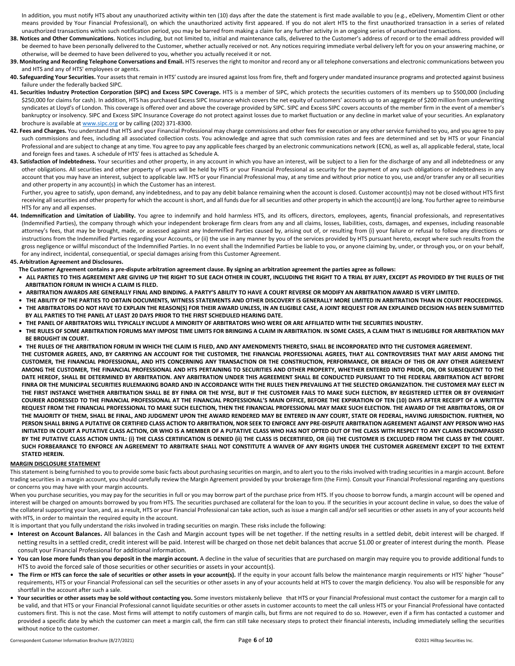In addition, you must notify HTS about any unauthorized activity within ten (10) days after the date the statement is first made available to you (e.g., eDelivery, Momentim Client or other means provided by Your Financial Professional), on which the unauthorized activity first appeared. If you do not alert HTS to the first unauthorized transaction in a series of related unauthorized transactions within such notification period, you may be barred from making a claim for any further activity in an ongoing series of unauthorized transactions.

- 38. Notices and Other Communications. Notices including, but not limited to, initial and maintenance calls, delivered to the Customer's address of record or to the email address provided will be deemed to have been personally delivered to the Customer, whether actually received or not. Any notices requiring immediate verbal delivery left for you on your answering machine, or otherwise, will be deemed to have been delivered to you, whether you actually received it or not.
- 39. Monitoring and Recording Telephone Conversations and Email. HTS reserves the right to monitor and record any or all telephone conversations and electronic communications between you and HTS and any of HTS' employees or agents.
- 40. Safeguarding Your Securities. Your assets that remain in HTS' custody are insured against loss from fire, theft and forgery under mandated insurance programs and protected against business failure under the federally backed SIPC.
- **41. Securities Industry Protection Corporation (SIPC) and Excess SIPC Coverage.** HTS is a member of SIPC, which protects the securities customers of its members up to \$500,000 (including \$250,000 for claims for cash). In addition, HTS has purchased Excess SIPC Insurance which covers the net equity of customers' accounts up to an aggregate of \$200 million from underwriting syndicates at Lloyd's of London. This coverage is offered over and above the coverage provided by SIPC. SIPC and Excess SIPC covers accounts of the member firm in the event of a member's bankruptcy or insolvency. SIPC and Excess SIPC Insurance Coverage do not protect against losses due to market fluctuation or any decline in market value of your securities. An explanatory brochure is available a[t www.sipc.org](http://www.sipc.org/) or by calling (202) 371-8300.
- 42. Fees and Charges. You understand that HTS and your Financial Professional may charge commissions and other fees for execution or any other service furnished to you, and you agree to pay such commissions and fees, including all associated collection costs. You acknowledge and agree that such commission rates and fees are determined and set by HTS or your Financial Professional and are subject to change at any time. You agree to pay any applicable fees charged by an electronic communications network (ECN), as well as, all applicable federal, state, local and foreign fees and taxes. A schedule of HTS' fees is attached as Schedule A.
- 43. Satisfaction of Indebtedness. Your securities and other property, in any account in which you have an interest, will be subject to a lien for the discharge of any and all indebtedness or any other obligations. All securities and other property of yours will be held by HTS or your Financial Professional as security for the payment of any such obligations or indebtedness in any account that you may have an interest, subject to applicable law. HTS or your Financial Professional may, at any time and without prior notice to you, use and/or transfer any or all securities and other property in any account(s) in which the Customer has an interest.

 Further, you agree to satisfy, upon demand, any indebtedness, and to pay any debit balance remaining when the account is closed. Customer account(s) may not be closed without HTS first receiving all securities and other property for which the account is short, and all funds due for all securities and other property in which the account(s) are long. You further agree to reimburse HTS for any and all expenses.

**44. Indemnification and Limitation of Liability.** You agree to indemnify and hold harmless HTS, and its officers, directors, employees, agents, financial professionals, and representatives (Indemnified Parties), the company through which your independent brokerage firm clears from any and all claims, losses, liabilities, costs, damages, and expenses, including reasonable attorney's fees, that may be brought, made, or assessed against any Indemnified Parties caused by, arising out of, or resulting from (i) your failure or refusal to follow any directions or instructions from the Indemnified Parties regarding your Accounts, or (ii) the use in any manner by you of the services provided by HTS pursuant hereto, except where such results from the gross negligence or willful misconduct of the Indemnified Parties. In no event shall the Indemnified Parties be liable to you, or anyone claiming by, under, or through you, or on your behalf, for any indirect, incidental, consequential, or special damages arising from this Customer Agreement.

#### **45. Arbitration Agreement and Disclosures.**

 **The Customer Agreement contains a pre-dispute arbitration agreement clause. By signing an arbitration agreement the parties agree as follows:**

- **ALL PARTIES TO THIS AGREEMENT ARE GIVING UP THE RIGHT TO SUE EACH OTHER IN COURT, INCLUDING THE RIGHT TO A TRIAL BY JURY, EXCEPT AS PROVIDED BY THE RULES OF THE ARBITRATION FORUM IN WHICH A CLAIM IS FILED.**
- **ARBITRATION AWARDS ARE GENERALLY FINAL AND BINDING. A PARTY'S ABILITY TO HAVE A COURT REVERSE OR MODIFY AN ARBITRATION AWARD IS VERY LIMITED.**
- **THE ABILITY OF THE PARTIES TO OBTAIN DOCUMENTS, WITNESS STATEMENTS AND OTHER DISCOVERY IS GENERALLY MORE LIMITED IN ARBITRATION THAN IN COURT PROCEEDINGS. • THE ARBITRATORS DO NOT HAVE TO EXPLAIN THE REASON(S) FOR THEIR AWARD UNLESS, IN AN ELIGIBLE CASE, A JOINT REQUEST FOR AN EXPLAINED DECISION HAS BEEN SUBMITTED BY ALL PARTIES TO THE PANEL AT LEAST 20 DAYS PRIOR TO THE FIRST SCHEDULED HEARING DATE.**
- **THE PANEL OF ARBITRATORS WILL TYPICALLY INCLUDE A MINORITY OF ARBITRATORS WHO WERE OR ARE AFFILIATED WITH THE SECURITIES INDUSTRY.**
- **THE RULES OF SOME ARBITRATION FORUMS MAY IMPOSE TIME LIMITS FOR BRINGING A CLAIM IN ARBITRATION. IN SOME CASES, A CLAIM THAT IS INELIGIBLE FOR ARBITRATION MAY BE BROUGHT IN COURT.**
- **THE RULES OF THE ARBITRATION FORUM IN WHICH THE CLAIM IS FILED, AND ANY AMENDMENTS THERETO, SHALL BE INCORPORATED INTO THE CUSTOMER AGREEMENT. THE CUSTOMER AGREES, AND, BY CARRYING AN ACCOUNT FOR THE CUSTOMER, THE FINANCIAL PROFESSIONAL AGREES, THAT ALL CONTROVERSIES THAT MAY ARISE AMONG THE CUSTOMER, THE FINANCIAL PROFESSIONAL, AND HTS CONCERNING ANY TRANSACTION OR THE CONSTRUCTION, PERFORMANCE, OR BREACH OF THIS OR ANY OTHER AGREEMENT AMONG THE CUSTOMER, THE FINANCIAL PROFESSIONAL AND HTS PERTAINING TO SECURITIES AND OTHER PROPERTY, WHETHER ENTERED INTO PRIOR, ON, OR SUBSEQUENT TO THE DATE HEREOF, SHALL BE DETERMINED BY ARBITRATION. ANY ARBITRATION UNDER THIS AGREEMENT SHALL BE CONDUCTED PURSUANT TO THE FEDERAL ARBITRATION ACT BEFORE FINRA OR THE MUNICIPAL SECURITIES RULEMAKING BOARD AND IN ACCORDANCE WITH THE RULES THEN PREVAILING AT THE SELECTED ORGANIZATION. THE CUSTOMER MAY ELECT IN THE FIRST INSTANCE WHETHER ARBITRATION SHALL BE BY FINRA OR THE NYSE, BUT IF THE CUSTOMER FAILS TO MAKE SUCH ELECTION, BY REGISTERED LETTER OR BY OVERNIGHT COURIER ADDRESSED TO THE FINANCIAL PROFESSIONAL AT THE FINANCIAL PROFESSIONAL'S MAIN OFFICE, BEFORE THE EXPIRATION OF TEN (10) DAYS AFTER RECEIPT OF A WRITTEN REQUEST FROM THE FINANCIAL PROFESSIONAL TO MAKE SUCH ELECTION, THEN THE FINANCIAL PROFESSIONAL MAY MAKE SUCH ELECTION. THE AWARD OF THE ARBITRATORS, OR OF THE MAJORITY OF THEM, SHALL BE FINAL, AND JUDGMENT UPON THE AWARD RENDERED MAY BE ENTERED IN ANY COURT, STATE OR FEDERAL, HAVING JURISDICTION. FURTHER, NO PERSON SHALL BRING A PUTATIVE OR CERTIFIED CLASS ACTION TO ARBITRATION, NOR SEEK TO ENFORCE ANY PRE-DISPUTE ARBITRATION AGREEMENT AGAINST ANY PERSON WHO HAS INITIATED IN COURT A PUTATIVE CLASS ACTION, OR WHO IS A MEMBER OF A PUTATIVE CLASS WHO HAS NOT OPTED OUT OF THE CLASS WITH RESPECT TO ANY CLAIMS ENCOMPASSED BY THE PUTATIVE CLASS ACTION UNTIL: (i) THE CLASS CERTIFICATION IS DENIED (ii) THE CLASS IS DECERTIFIED, OR (iii) THE CUSTOMER IS EXCLUDED FROM THE CLASS BY THE COURT. SUCH FORBEARANCE TO ENFORCE AN AGREEMENT TO ARBITRATE SHALL NOT CONSTITUTE A WAIVER OF ANY RIGHTS UNDER THE CUSTOMER AGREEMENT EXCEPT TO THE EXTENT STATED HEREIN.**

#### **MARGIN DISCLOSURE STATEMENT**

This statement is being furnished to you to provide some basic facts about purchasing securities on margin, and to alert you to the risks involved with trading securities in a margin account. Before trading securities in a margin account, you should carefully review the Margin Agreement provided by your brokerage firm (the Firm). Consult your Financial Professional regarding any questions or concerns you may have with your margin accounts.

When you purchase securities, you may pay for the securities in full or you may borrow part of the purchase price from HTS. If you choose to borrow funds, a margin account will be opened and interest will be charged on amounts borrowed by you from HTS. The securities purchased are collateral for the loan to you. If the securities in your account decline in value, so does the value of the collateral supporting your loan, and, as a result, HTS or your Financial Professional can take action, such as issue a margin call and/or sell securities or other assets in any of your accounts held with HTS, in order to maintain the required equity in the account.

It is important that you fully understand the risks involved in trading securities on margin. These risks include the following:

- **Interest on Account Balances.** All balances in the Cash and Margin account types will be net together. If the netting results in a settled debit, debit interest will be charged. If netting results in a settled credit, credit interest will be paid. Interest will be charged on those net debit balances that accrue \$1.00 or greater of interest during the month. Please consult your Financial Professional for additional information.
- You can lose more funds than you deposit in the margin account. A decline in the value of securities that are purchased on margin may require you to provide additional funds to HTS to avoid the forced sale of those securities or other securities or assets in your account(s).
- The Firm or HTS can force the sale of securities or other assets in your account(s). If the equity in your account falls below the maintenance margin requirements or HTS' higher "house" requirements, HTS or your Financial Professional can sell the securities or other assets in any of your accounts held at HTS to cover the margin deficiency. You also will be responsible for any shortfall in the account after such a sale.
- Your securities or other assets may be sold without contacting you. Some investors mistakenly believe that HTS or your Financial Professional must contact the customer for a margin call to be valid, and that HTS or your Financial Professional cannot liquidate securities or other assets in customer accounts to meet the call unless HTS or your Financial Professional have contacted customers first. This is not the case. Most firms will attempt to notify customers of margin calls, but firms are not required to do so. However, even if a firm has contacted a customer and provided a specific date by which the customer can meet a margin call, the firm can still take necessary steps to protect their financial interests, including immediately selling the securities without notice to the customer.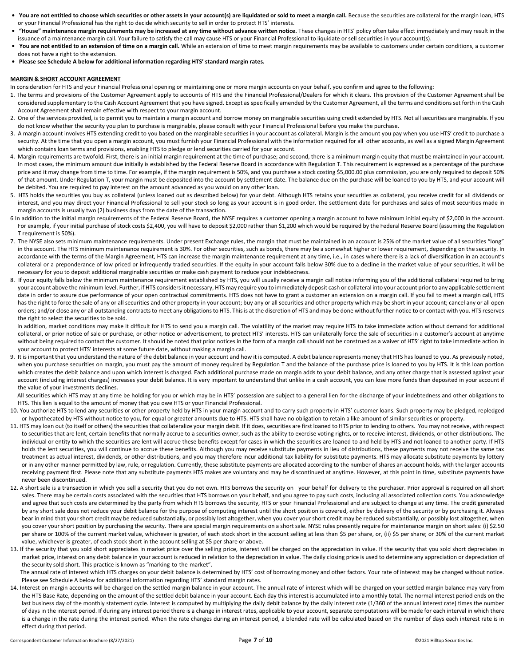- You are not entitled to choose which securities or other assets in your account(s) are liquidated or sold to meet a margin call. Because the securities are collateral for the margin loan, HTS or your Financial Professional has the right to decide which security to sell in order to protect HTS' interests.
- **"House" maintenance margin requirements may be increased at any time without advance written notice.** These changes in HTS' policy often take effect immediately and may result in the issuance of a maintenance margin call. Your failure to satisfy the call may cause HTS or your Financial Professional to liquidate or sell securities in your account(s).
- **You are not entitled to an extension of time on a margin call.** While an extension of time to meet margin requirements may be available to customers under certain conditions, a customer does not have a right to the extension.
- **Please see Schedule A below for additional information regarding HTS' standard margin rates.**

#### **MARGIN & SHORT ACCOUNT AGREEMENT**

In consideration for HTS and your Financial Professional opening or maintaining one or more margin accounts on your behalf, you confirm and agree to the following:

- 1. The terms and provisions of the Customer Agreement apply to accounts of HTS and the Financial Professional/Dealers for which it clears. This provision of the Customer Agreement shall be considered supplementary to the Cash Account Agreement that you have signed. Except as specifically amended by the Customer Agreement, all the terms and conditions set forth in the Cash Account Agreement shall remain effective with respect to your margin account.
- 2. One of the services provided, is to permit you to maintain a margin account and borrow money on marginable securities using credit extended by HTS. Not all securities are marginable. If you do not know whether the security you plan to purchase is marginable, please consult with your Financial Professional before you make the purchase.
- 3. A margin account involves HTS extending credit to you based on the marginable securities in your account as collateral. Margin is the amount you pay when you use HTS' credit to purchase a security. At the time that you open a margin account, you must furnish your Financial Professional with the information required for all other accounts, as well as a signed Margin Agreement which contains loan terms and provisions, enabling HTS to pledge or lend securities carried for your account.
- 4. Margin requirements are twofold. First, there is an initial margin requirement at the time of purchase; and second, there is a minimum margin equity that must be maintained in your account. In most cases, the minimum amount due initially is established by the Federal Reserve Board in accordance with Regulation T. This requirement is expressed as a percentage of the purchase price and it may change from time to time. For example, if the margin requirement is 50%, and you purchase a stock costing \$5,000.00 plus commission, you are only required to deposit 50% of that amount. Under Regulation T, your margin must be deposited into the account by settlement date. The balance due on the purchase will be loaned to you by HTS, and your account will be debited. You are required to pay interest on the amount advanced as you would on any other loan.
- 5. HTS holds the securities you buy as collateral (unless loaned out as described below) for your debt. Although HTS retains your securities as collateral, you receive credit for all dividends or interest, and you may direct your Financial Professional to sell your stock so long as your account is in good order. The settlement date for purchases and sales of most securities made in margin accounts is usually two (2) business days from the date of the transaction.
- 6 In addition to the initial margin requirements of the Federal Reserve Board, the NYSE requires a customer opening a margin account to have minimum initial equity of \$2,000 in the account. For example, if your initial purchase of stock costs \$2,400, you will have to deposit \$2,000 rather than \$1,200 which would be required by the Federal Reserve Board (assuming the Regulation T requirement is 50%).
- 7. The NYSE also sets minimum maintenance requirements. Under present Exchange rules, the margin that must be maintained in an account is 25% of the market value of all securities "long" in the account. The HTS minimum maintenance requirement is 30%. For other securities, such as bonds, there may be a somewhat higher or lower requirement, depending on the security. In accordance with the terms of the Margin Agreement, HTS can increase the margin maintenance requirement at any time, i.e., in cases where there is a lack of diversification in an account's collateral or a preponderance of low priced or infrequently traded securities. If the equity in your account falls below 30% due to a decline in the market value of your securities, it will be necessary for you to deposit additional marginable securities or make cash payment to reduce your indebtedness.
- 8. If your equity falls below the minimum maintenance requirement established by HTS, you will usually receive a margin call notice informing you of the additional collateral required to bring your account above the minimum level. Further, if HTS considers it necessary, HTS may require you to immediately deposit cash or collateral into your account prior to any applicable settlement date in order to assure due performance of your open contractual commitments. HTS does not have to grant a customer an extension on a margin call. If you fail to meet a margin call, HTS has the right to force the sale of any or all securities and other property in your account; buy any or all securities and other property which may be short in your account; cancel any or all open orders; and/or close any or all outstanding contracts to meet any obligations to HTS. This is at the discretion of HTS and may be done without further notice to or contact with you. HTS reserves the right to select the securities to be sold.

In addition, market conditions may make it difficult for HTS to send you a margin call. The volatility of the market may require HTS to take immediate action without demand for additional collateral, or prior notice of sale or purchase, or other notice or advertisement, to protect HTS' interests. HTS can unilaterally force the sale of securities in a customer's account at anytime without being required to contact the customer. It should be noted that prior notices in the form of a margin call should not be construed as a waiver of HTS' right to take immediate action in your account to protect HTS' interests at some future date, without making a margin call.

9. It is important that you understand the nature of the debit balance in your account and how it is computed. A debit balance represents money that HTS has loaned to you. As previously noted, when you purchase securities on margin, you must pay the amount of money required by Regulation T and the balance of the purchase price is loaned to you by HTS. It is this loan portion which creates the debit balance and upon which interest is charged. Each additional purchase made on margin adds to your debit balance, and any other charge that is assessed against your account (including interest charges) increases your debit balance. It is very important to understand that unlike in a cash account, you can lose more funds than deposited in your account if the value of your investments declines.

All securities which HTS may at any time be holding for you or which may be in HTS' possession are subject to a general lien for the discharge of your indebtedness and other obligations to HTS. This lien is equal to the amount of money that you owe HTS or your Financial Professional.

- 10. You authorize HTS to lend any securities or other property held by HTS in your margin account and to carry such property in HTS' customer loans. Such property may be pledged, repledged or hypothecated by HTS without notice to you, for equal or greater amounts due to HTS. HTS shall have no obligation to retain a like amount of similar securities or property.
- 11. HTS may loan out (to itself or others) the securities that collateralize your margin debit. If it does, securities are first loaned to HTS prior to lending to others. You may not receive, with respect to securities that are lent, certain benefits that normally accrue to a securities owner, such as the ability to exercise voting rights, or to receive interest, dividends, or other distributions. The individual or entity to which the securities are lent will accrue these benefits except for cases in which the securities are loaned to and held by HTS and not loaned to another party. If HTS holds the lent securities, you will continue to accrue these benefits. Although you may receive substitute payments in lieu of distributions, these payments may not receive the same tax treatment as actual interest, dividends, or other distributions, and you may therefore incur additional tax liability for substitute payments. HTS may allocate substitute payments by lottery or in any other manner permitted by law, rule, or regulation. Currently, these substitute payments are allocated according to the number of shares an account holds, with the larger accounts receiving payment first. Please note that any substitute payments HTS makes are voluntary and may be discontinued at anytime. However, at this point in time, substitute payments have never been discontinued.
- 12. A short sale is a transaction in which you sell a security that you do not own. HTS borrows the security on your behalf for delivery to the purchaser. Prior approval is required on all short sales. There may be certain costs associated with the securities that HTS borrows on your behalf, and you agree to pay such costs, including all associated collection costs. You acknowledge and agree that such costs are determined by the party from which HTS borrows the security, HTS or your Financial Professional and are subject to change at any time. The credit generated by any short sale does not reduce your debit balance for the purpose of computing interest until the short position is covered, either by delivery of the security or by purchasing it. Always bear in mind that your short credit may be reduced substantially, or possibly lost altogether, when you cover your short credit may be reduced substantially, or possibly lost altogether, when you cover your short position by purchasing the security. There are special margin requirements on a short sale. NYSE rules presently require for maintenance margin on short sales: (i) \$2.50 per share or 100% of the current market value, whichever is greater, of each stock short in the account selling at less than \$5 per share, or, (ii) \$5 per share; or 30% of the current market value, whichever is greater, of each stock short in the account selling at \$5 per share or above.
- 13. If the security that you sold short appreciates in market price over the selling price, interest will be charged on the appreciation in value. If the security that you sold short depreciates in market price, interest on any debit balance in your account is reduced in relation to the depreciation in value. The daily closing price is used to determine any appreciation or depreciation of the security sold short. This practice is known as "marking-to-the-market".

The annual rate of interest which HTS charges on your debit balance is determined by HTS' cost of borrowing money and other factors. Your rate of interest may be changed without notice. Please see Schedule A below for additional information regarding HTS' standard margin rates.

14. Interest on margin accounts will be charged on the settled margin balance in your account. The annual rate of interest which will be charged on your settled margin balance may vary from the HTS Base Rate, depending on the amount of the settled debit balance in your account. Each day this interest is accumulated into a monthly total. The normal interest period ends on the last business day of the monthly statement cycle. Interest is computed by multiplying the daily debit balance by the daily interest rate (1/360 of the annual interest rate) times the number of days in the interest period. If during any interest period there is a change in interest rates, applicable to your account, separate computations will be made for each interval in which there is a change in the rate during the interest period. When the rate changes during an interest period, a blended rate will be calculated based on the number of days each interest rate is in effect during that period.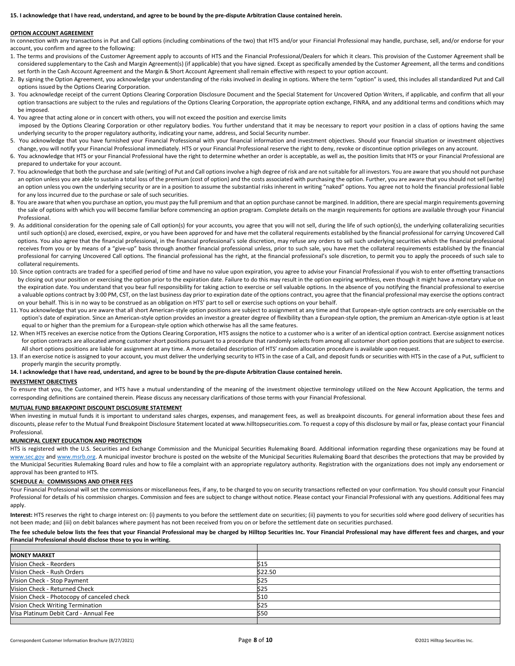#### **15. I acknowledge that I have read, understand, and agree to be bound by the pre-dispute Arbitration Clause contained herein.**

#### **OPTION ACCOUNT AGREEMENT**

In connection with any transactions in Put and Call options (including combinations of the two) that HTS and/or your Financial Professional may handle, purchase, sell, and/or endorse for your account, you confirm and agree to the following:

- 1. The terms and provisions of the Customer Agreement apply to accounts of HTS and the Financial Professional/Dealers for which it clears. This provision of the Customer Agreement shall be considered supplementary to the Cash and Margin Agreement(s) (if applicable) that you have signed. Except as specifically amended by the Customer Agreement, all the terms and conditions set forth in the Cash Account Agreement and the Margin & Short Account Agreement shall remain effective with respect to your option account.
- 2. By signing the Option Agreement, you acknowledge your understanding of the risks involved in dealing in options. Where the term "option" is used, this includes all standardized Put and Call options issued by the Options Clearing Corporation.
- 3. You acknowledge receipt of the current Options Clearing Corporation Disclosure Document and the Special Statement for Uncovered Option Writers, if applicable, and confirm that all your option transactions are subject to the rules and regulations of the Options Clearing Corporation, the appropriate option exchange, FINRA, and any additional terms and conditions which may be imposed.
- 4. You agree that acting alone or in concert with others, you will not exceed the position and exercise limits imposed by the Options Clearing Corporation or other regulatory bodies. You further understand that it may be necessary to report your position in a class of options having the same underlying security to the proper regulatory authority, indicating your name, address, and Social Security number.
- 5. You acknowledge that you have furnished your Financial Professional with your financial information and investment objectives. Should your financial situation or investment objectives change, you will notify your Financial Professional immediately. HTS or your Financial Professional reserve the right to deny, revoke or discontinue option privileges on any account.
- 6. You acknowledge that HTS or your Financial Professional have the right to determine whether an order is acceptable, as well as, the position limits that HTS or your Financial Professional are prepared to undertake for your account.
- 7. You acknowledge that both the purchase and sale (writing) of Put and Call options involve a high degree of risk and are not suitable for all investors. You are aware that you should not purchase an option unless you are able to sustain a total loss of the premium (cost of option) and the costs associated with purchasing the option. Further, you are aware that you should not sell (write) an option unless you own the underlying security or are in a position to assume the substantial risks inherent in writing "naked" options. You agree not to hold the financial professional liable for any loss incurred due to the purchase or sale of such securities.
- 8. You are aware that when you purchase an option, you must pay the full premium and that an option purchase cannot be margined. In addition, there are special margin requirements governing the sale of options with which you will become familiar before commencing an option program. Complete details on the margin requirements for options are available through your Financial Professional.
- 9. As additional consideration for the opening sale of Call option(s) for your accounts, you agree that you will not sell, during the life of such option(s), the underlying collateralizing securities until such option(s) are closed, exercised, expire, or you have been approved for and have met the collateral requirements established by the financial professional for carrying Uncovered Call options. You also agree that the financial professional, in the financial professional's sole discretion, may refuse any orders to sell such underlying securities which the financial professional receives from you or by means of a "give-up" basis through another financial professional unless, prior to such sale, you have met the collateral requirements established by the financial professional for carrying Uncovered Call options. The financial professional has the right, at the financial professional's sole discretion, to permit you to apply the proceeds of such sale to collateral requirements.
- 10. Since option contracts are traded for a specified period of time and have no value upon expiration, you agree to advise your Financial Professional if you wish to enter offsetting transactions by closing out your position or exercising the option prior to the expiration date. Failure to do this may result in the option expiring worthless, even though it might have a monetary value on the expiration date. You understand that you bear full responsibility for taking action to exercise or sell valuable options. In the absence of you notifying the financial professional to exercise a valuable options contract by 3:00 PM, CST, on the last business day prior to expiration date of the options contract, you agree that the financial professional may exercise the options contract on your behalf. This is in no way to be construed as an obligation on HTS' part to sell or exercise such options on your behalf.
- 11. You acknowledge that you are aware that all short American-style option positions are subject to assignment at any time and that European-style option contracts are only exercisable on the option's date of expiration. Since an American-style option provides an investor a greater degree of flexibility than a European-style option, the premium an American-style option is at least equal to or higher than the premium for a European-style option which otherwise has all the same features.
- 12. When HTS receives an exercise notice from the Options Clearing Corporation, HTS assigns the notice to a customer who is a writer of an identical option contract. Exercise assignment notices for option contracts are allocated among customer short positions pursuant to a procedure that randomly selects from among all customer short option positions that are subject to exercise. All short options positions are liable for assignment at any time. A more detailed description of HTS' random allocation procedure is available upon request.
- 13. If an exercise notice is assigned to your account, you must deliver the underlying security to HTS in the case of a Call, and deposit funds or securities with HTS in the case of a Put, sufficient to properly margin the security promptly.

#### **14. I acknowledge that I have read, understand, and agree to be bound by the pre-dispute Arbitration Clause contained herein.**

#### **INVESTMENT OBJECTIVES**

To ensure that you, the Customer, and HTS have a mutual understanding of the meaning of the investment objective terminology utilized on the New Account Application, the terms and corresponding definitions are contained therein. Please discuss any necessary clarifications of those terms with your Financial Professional.

#### **MUTUAL FUND BREAKPOINT DISCOUNT DISCLOSURE STATEMENT**

When investing in mutual funds it is important to understand sales charges, expenses, and management fees, as well as breakpoint discounts. For general information about these fees and discounts, please refer to the Mutual Fund Breakpoint Disclosure Statement located at www.hilltopsecurities.com. To request a copy of this disclosure by mail or fax, please contact your Financial Professional.

#### **MUNICIPAL CLIENT EDUCATION AND PROTECTION**

HTS is registered with the U.S. Securities and Exchange Commission and the Municipal Securities Rulemaking Board. Additional information regarding these organizations may be found at [www.sec.gov](http://www.sec.gov/) and [www.msrb.org.](http://www.msrb.org/) A municipal investor brochure is posted on the website of the Municipal Securities Rulemaking Board that describes the protections that may be provided by the Municipal Securities Rulemaking Board rules and how to file a complaint with an appropriate regulatory authority. Registration with the organizations does not imply any endorsement or approval has been granted to HTS.

#### **SCHEDULE A: COMMISSIONS AND OTHER FEES**

Your Financial Professional will set the commissions or miscellaneous fees, if any, to be charged to you on security transactions reflected on your confirmation. You should consult your Financial Professional for details of his commission charges. Commission and fees are subject to change without notice. Please contact your Financial Professional with any questions. Additional fees may apply.

Interest: HTS reserves the right to charge interest on: (i) payments to you before the settlement date on securities; (ii) payments to you for securities sold where good delivery of securities has not been made; and (iii) on debit balances where payment has not been received from you on or before the settlement date on securities purchased.

#### **The fee schedule below lists the fees that your Financial Professional may be charged by Hilltop Securities Inc. Your Financial Professional may have different fees and charges, and your Financial Professional should disclose those to you in writing.**

| <b>IMONEY MARKET</b>                       |         |
|--------------------------------------------|---------|
| Vision Check - Reorders                    | \$15    |
| Vision Check - Rush Orders                 | \$22.50 |
| Vision Check - Stop Payment                | \$25    |
| Vision Check - Returned Check              | \$25    |
| Vision Check - Photocopy of canceled check | \$10    |
| Vision Check Writing Termination           | \$25    |
| Visa Platinum Debit Card - Annual Fee      | \$50    |
|                                            |         |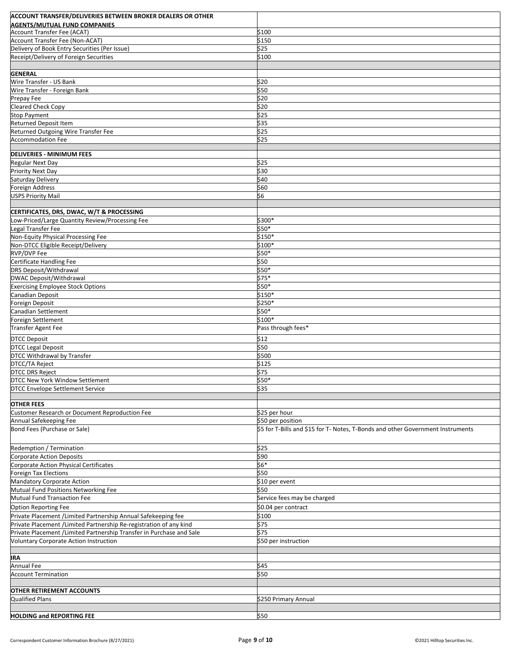| <b>ACCOUNT TRANSFER/DELIVERIES BETWEEN BROKER DEALERS OR OTHER</b>           |                                                                                 |
|------------------------------------------------------------------------------|---------------------------------------------------------------------------------|
| <b>AGENTS/MUTUAL FUND COMPANIES</b>                                          |                                                                                 |
| <b>Account Transfer Fee (ACAT)</b><br><b>Account Transfer Fee (Non-ACAT)</b> | \$100<br>\$150                                                                  |
| Delivery of Book Entry Securities (Per Issue)                                | \$25                                                                            |
| Receipt/Delivery of Foreign Securities                                       | \$100                                                                           |
|                                                                              |                                                                                 |
| <b>GENERAL</b>                                                               |                                                                                 |
| Wire Transfer - US Bank                                                      | \$20                                                                            |
| Wire Transfer - Foreign Bank                                                 | \$50                                                                            |
| Prepay Fee                                                                   | \$20                                                                            |
| Cleared Check Copy                                                           | \$20                                                                            |
| <b>Stop Payment</b><br><b>Returned Deposit Item</b>                          | \$25<br>\$35                                                                    |
| Returned Outgoing Wire Transfer Fee                                          | \$25                                                                            |
| Accommodation Fee                                                            | \$25                                                                            |
|                                                                              |                                                                                 |
| <b>DELIVERIES - MINIMUM FEES</b>                                             |                                                                                 |
| <b>Regular Next Day</b>                                                      | \$25                                                                            |
| <b>Priority Next Day</b>                                                     | \$30<br>\$40                                                                    |
| Saturday Delivery<br>Foreign Address                                         | \$60                                                                            |
| <b>USPS Priority Mail</b>                                                    | \$6                                                                             |
|                                                                              |                                                                                 |
| CERTIFICATES, DRS, DWAC, W/T & PROCESSING                                    |                                                                                 |
| Low-Priced/Large Quantity Review/Processing Fee                              | \$300*                                                                          |
| Legal Transfer Fee                                                           | \$50*                                                                           |
| Non-Equity Physical Processing Fee                                           | \$150*                                                                          |
| Non-DTCC Eligible Receipt/Delivery                                           | \$100*                                                                          |
| <b>RVP/DVP Fee</b><br>Certificate Handling Fee                               | \$50*<br>\$50                                                                   |
| DRS Deposit/Withdrawal                                                       | \$50*                                                                           |
| <b>DWAC Deposit/Withdrawal</b>                                               | $$75*$                                                                          |
| <b>Exercising Employee Stock Options</b>                                     | \$50*                                                                           |
| Canadian Deposit                                                             | \$150*                                                                          |
| Foreign Deposit                                                              | \$250*                                                                          |
| Canadian Settlement                                                          | \$50*                                                                           |
| Foreign Settlement                                                           | \$100*                                                                          |
| Transfer Agent Fee                                                           | Pass through fees*                                                              |
| <b>DTCC Deposit</b>                                                          | \$12                                                                            |
| <b>DTCC Legal Deposit</b>                                                    | \$50                                                                            |
| DTCC Withdrawal by Transfer                                                  | \$500                                                                           |
| DTCC/TA Reject<br><b>DTCC DRS Reject</b>                                     | \$125<br>\$75                                                                   |
| DTCC New York Window Settlement                                              | \$50*                                                                           |
| <b>DTCC Envelope Settlement Service</b>                                      | \$35                                                                            |
|                                                                              |                                                                                 |
| <b>OTHER FEES</b>                                                            |                                                                                 |
| Customer Research or Document Reproduction Fee                               | \$25 per hour                                                                   |
| Annual Safekeeping Fee                                                       | \$50 per position                                                               |
| <b>Bond Fees (Purchase or Sale)</b>                                          | \$5 for T-Bills and \$15 for T- Notes, T-Bonds and other Government Instruments |
| Redemption / Termination                                                     | \$25                                                                            |
| <b>Corporate Action Deposits</b>                                             | \$90                                                                            |
| Corporate Action Physical Certificates<br>Foreign Tax Elections              | \$6*<br>\$50                                                                    |
| Mandatory Corporate Action                                                   | \$10 per event                                                                  |
| Mutual Fund Positions Networking Fee                                         | \$50                                                                            |
| Mutual Fund Transaction Fee                                                  | Service fees may be charged                                                     |
| <b>Option Reporting Fee</b>                                                  | \$0.04 per contract                                                             |
| Private Placement / Limited Partnership Annual Safekeeping fee               | \$100                                                                           |
| Private Placement / Limited Partnership Re-registration of any kind          | \$75                                                                            |
| Private Placement / Limited Partnership Transfer in Purchase and Sale        | \$75                                                                            |
| <b>Voluntary Corporate Action Instruction</b>                                | \$50 per instruction                                                            |
|                                                                              |                                                                                 |
| <b>IRA</b><br><b>Annual Fee</b>                                              | \$45                                                                            |
| <b>Account Termination</b>                                                   | \$50                                                                            |
|                                                                              |                                                                                 |
| <b>OTHER RETIREMENT ACCOUNTS</b>                                             |                                                                                 |
| Qualified Plans                                                              | \$250 Primary Annual                                                            |
|                                                                              |                                                                                 |
| <b>HOLDING and REPORTING FEE</b>                                             | \$50                                                                            |